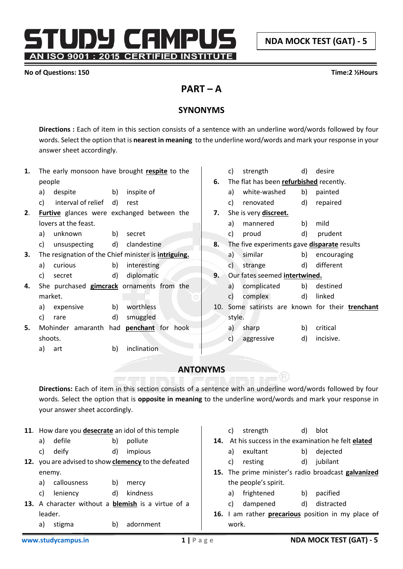**NDA MOCK TEST (GAT) - 5**

TUDY CAMPU AN ISO 9001 : 2015 CERTIFIED INSTITUTE

## **No of Questions: 150 Time:2 ½Hours**

# **PART – A**

# **SYNONYMS**

**Directions :** Each of item in this section consists of a sentence with an underline word/words followed by four words. Select the option that is **nearest in meaning** to the underline word/words and mark your response in your answer sheet accordingly.

| 1. | The early monsoon have brought respite to the               |    | strength<br>C)                                     | d) | desire                                           |
|----|-------------------------------------------------------------|----|----------------------------------------------------|----|--------------------------------------------------|
|    | people                                                      | 6. | The flat has been refurbished recently.            |    |                                                  |
|    | inspite of<br>despite<br>b)<br>a)                           |    | a) white-washed                                    | b) | painted                                          |
|    | interval of relief<br>C)<br>d)<br>rest                      |    | renovated<br>C)                                    | d) | repaired                                         |
| 2. | Furtive glances were exchanged between the                  | 7. | She is very discreet.                              |    |                                                  |
|    | lovers at the feast.                                        |    | mannered<br>a)                                     | b) | mild                                             |
|    | unknown<br>b)<br>secret<br>a)                               |    | c)<br>proud                                        | d) | prudent                                          |
|    | d) clandestine<br>unsuspecting<br>c)                        | 8. | The five experiments gave <b>disparate</b> results |    |                                                  |
| 3. | The resignation of the Chief minister is <i>intriguing.</i> |    | a) similar                                         | b) | encouraging                                      |
|    | b)<br>curious<br>interesting<br>a)                          |    | c)<br>strange                                      | d) | different                                        |
|    | d)<br>diplomatic<br>c)<br>secret                            | 9. | Our fates seemed intertwined.                      |    |                                                  |
| 4. | She purchased gimcrack ornaments from the                   |    | complicated<br>a)                                  | b) | destined                                         |
|    | market.                                                     |    | complex<br>c)                                      | d) | linked                                           |
|    | worthless<br>expensive<br>b)<br>a)                          |    |                                                    |    | 10. Some satirists are known for their trenchant |
|    | d)<br>smuggled<br>C)<br>rare                                |    | style.                                             |    |                                                  |
| 5. | Mohinder amaranth had <b>penchant</b> for hook              |    | sharp<br>a) $\overline{a}$                         | b) | critical                                         |
|    | shoots.                                                     |    | c)<br>aggressive                                   | d) | incisive.                                        |
|    | <i>inclination</i><br>b)<br>a)<br>art                       |    |                                                    |    |                                                  |
|    |                                                             |    |                                                    |    |                                                  |

# **ANTONYMS**

**Directions:** Each of item in this section consists of a sentence with an underline word/words followed by four words. Select the option that is **opposite in meaning** to the underline word/words and mark your response in your answer sheet accordingly.

|     |         | 11. How dare you <b>desecrate</b> an idol of this temple |    |                                                           |     | C)    | strength             | d)                                                  | blot                                             |
|-----|---------|----------------------------------------------------------|----|-----------------------------------------------------------|-----|-------|----------------------|-----------------------------------------------------|--------------------------------------------------|
|     | a)      | defile                                                   | b) | pollute                                                   | 14. |       |                      |                                                     | At his success in the examination he felt elated |
|     | C)      | deify                                                    | d) | impious                                                   |     | a)    | exultant             | b)                                                  | dejected                                         |
| 12. |         |                                                          |    | you are advised to show <b>clemency</b> to the defeated   |     | C)    | resting              | d)                                                  | jubilant                                         |
|     | enemy.  |                                                          |    | 15.                                                       |     |       |                      | The prime minister's radio broadcast galvanized     |                                                  |
|     | a)      | callousness                                              | b) | mercy                                                     |     |       | the people's spirit. |                                                     |                                                  |
|     | C)      | leniency                                                 | d) | kindness                                                  |     | a)    | frightened           | b)                                                  | pacified                                         |
|     |         |                                                          |    | 13. A character without a <b>blemish</b> is a virtue of a |     | C)    | dampened             | d)                                                  | distracted                                       |
|     | leader. |                                                          |    | 16.                                                       |     |       |                      | am rather <b>precarious</b> position in my place of |                                                  |
|     | a)      | stigma                                                   | b) | adornment                                                 |     | work. |                      |                                                     |                                                  |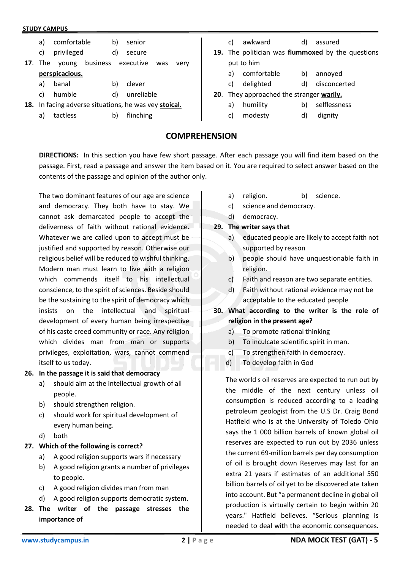- a) comfortable b) senior
- c) privileged d) secure
- **17**. The young business executive was very **perspicacious.**
	- a) banal b) clever
	- c) humble d) unreliable
- **18.** In facing adverse situations, he was vey **stoical.**
	- a) tactless b) flinching
- c) awkward d) assured
- **19.** The politician was **flummoxed** by the questions put to him
	- a) comfortable b) annoyed
	- c) delighted d) disconcerted
- **20**. They approached the stranger **warily.**
	- a) humility b) selflessness
	- c) modesty d) dignity

## **COMPREHENSION**

**DIRECTIONS:** In this section you have few short passage. After each passage you will find item based on the passage. First, read a passage and answer the item based on it. You are required to select answer based on the contents of the passage and opinion of the author only.

The two dominant features of our age are science and democracy. They both have to stay. We cannot ask demarcated people to accept the deliverness of faith without rational evidence. Whatever we are called upon to accept must be justified and supported by reason. Otherwise our religious belief will be reduced to wishful thinking. Modern man must learn to live with a religion which commends itself to his intellectual conscience, to the spirit of sciences. Beside should be the sustaining to the spirit of democracy which insists on the intellectual and spiritual development of every human being irrespective of his caste creed community or race. Any religion which divides man from man or supports privileges, exploitation, wars, cannot commend itself to us today.

## **26. In the passage it is said that democracy**

- a) should aim at the intellectual growth of all people.
- b) should strengthen religion.
- c) should work for spiritual development of every human being.
- d) both

## **27. Which of the following is correct?**

- a) A good religion supports wars if necessary
- b) A good religion grants a number of privileges to people.
- c) A good religion divides man from man
- d) A good religion supports democratic system.
- **28. The writer of the passage stresses the importance of**
- a) religion. b) science.
- c) science and democracy.
- d) democracy.

## **29. The writer says that**

- a) educated people are likely to accept faith not supported by reason
- b) people should have unquestionable faith in religion.
- c) Faith and reason are two separate entities.
- d) Faith without rational evidence may not be acceptable to the educated people
- **30. What according to the writer is the role of religion in the present age?**
	- a) To promote rational thinking
	- b) To inculcate scientific spirit in man.
	- c) To strengthen faith in democracy.
	- d) To develop faith in God

The world s oil reserves are expected to run out by the middle of the next century unless oil consumption is reduced according to a leading petroleum geologist from the U.S Dr. Craig Bond Hatfield who is at the University of Toledo Ohio says the 1 000 billion barrels of known global oil reserves are expected to run out by 2036 unless the current 69-million barrels per day consumption of oil is brought down Reserves may last for an extra 21 years if estimates of an additional 550 billion barrels of oil yet to be discovered ate taken into account. But "a permanent decline in global oil production is virtually certain to begin within 20 years." Hatfield believes. "Serious planning is needed to deal with the economic consequences.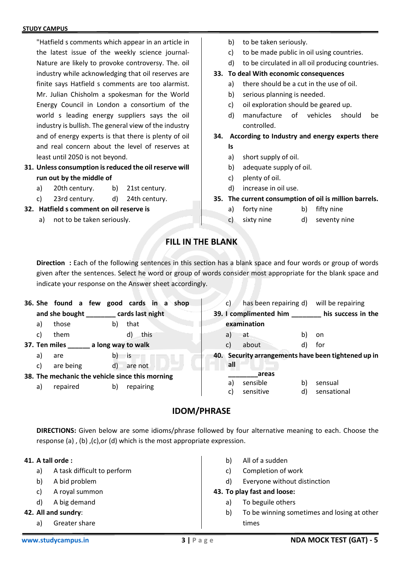"Hatfield s comments which appear in an article in the latest issue of the weekly science journal-Nature are likely to provoke controversy. The. oil industry while acknowledging that oil reserves are finite says Hatfield s comments are too alarmist. Mr. Julian Chisholm a spokesman for the World Energy Council in London a consortium of the world s leading energy suppliers says the oil industry is bullish. The general view of the industry and of energy experts is that there is plenty of oil and real concern about the level of reserves at least until 2050 is not beyond.

- **31. Unless consumption is reduced the oil reserve will run out by the middle of**
	- a) 20th century. b) 21st century.
	- c) 23rd century. d) 24th century.
- **32. Hatfield s comment on oil reserve is**
	- a) not to be taken seriously.
- b) to be taken seriously.
- c) to be made public in oil using countries.
- d) to be circulated in all oil producing countries.

## **33. To deal With economic consequences**

- a) there should be a cut in the use of oil.
- b) serious planning is needed.
- c) oil exploration should be geared up.
- d) manufacture of vehicles should be controlled.
- **34. According to Industry and energy experts there Is**
	- a) short supply of oil.
	- b) adequate supply of oil.
	- c) plenty of oil.
	- d) increase in oil use.
- **35. The current consumption of oil is million barrels.**
	- a) forty nine b) fifty nine
	- c) sixty nine d) seventy nine

## **FILL IN THE BLANK**

**Direction :** Each of the following sentences in this section has a blank space and four words or group of words given after the sentences. Select he word or group of words consider most appropriate for the blank space and indicate your response on the Answer sheet accordingly.

|              |                                                 |    | 36. She found a few good cards in a shop | C)  | has been repairing d)  |    | will be repairing                                   |
|--------------|-------------------------------------------------|----|------------------------------------------|-----|------------------------|----|-----------------------------------------------------|
|              | and she bought _________ cards last night       |    |                                          |     | 39. I complimented him |    | his success in the                                  |
| a)           | those                                           | b) | that                                     |     | examination            |    |                                                     |
| C)           | them                                            |    | this<br>d)                               | a)  | at                     | b) | on                                                  |
|              | 37. Ten miles                                   |    | a long way to walk                       | C)  | about                  | d) | for                                                 |
| a)           | are                                             | b) | is is                                    |     |                        |    | 40. Security arrangements have been tightened up in |
| $\mathsf{c}$ | are being                                       | d) | are not                                  | all |                        |    |                                                     |
|              | 38. The mechanic the vehicle since this morning |    |                                          |     | areas                  |    |                                                     |
| a)           | repaired                                        | b) | repairing                                | a)  | sensible               | b) | sensual                                             |
|              |                                                 |    |                                          | C)  | sensitive              | d) | sensational                                         |
|              |                                                 |    |                                          |     |                        |    |                                                     |

## **IDOM/PHRASE**

**DIRECTIONS:** Given below are some idioms/phrase followed by four alternative meaning to each. Choose the response (a) , (b) ,(c),or (d) which is the most appropriate expression.

## **41. A tall orde :**

- a) A task difficult to perform
- b) A bid problem
- c) A royal summon
- d) A big demand
- **42. All and sundry**:
	- a) Greater share
- b) All of a sudden
- c) Completion of work
- d) Everyone without distinction

## **43. To play fast and loose:**

- a) To beguile others
- b) To be winning sometimes and losing at other times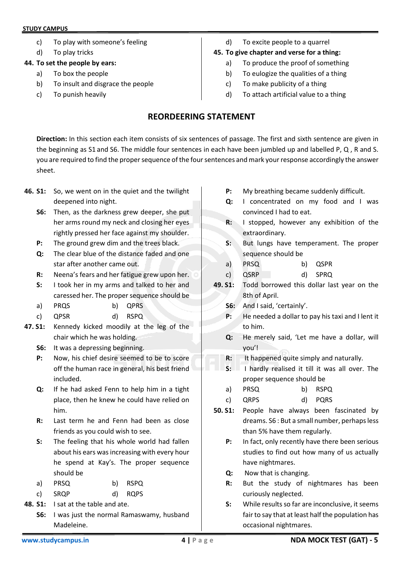- c) To play with someone's feeling
- d) To play tricks

## **44. To set the people by ears:**

- a) To box the people
- b) To insult and disgrace the people
- c) To punish heavily

d) To excite people to a quarrel

## **45. To give chapter and verse for a thing:**

- a) To produce the proof of something
- b) To eulogize the qualities of a thing
- c) To make publicity of a thing
- d) To attach artificial value to a thing

# **REORDEERING STATEMENT**

**Direction:** In this section each item consists of six sentences of passage. The first and sixth sentence are given in the beginning as S1 and S6. The middle four sentences in each have been jumbled up and labelled P, Q , R and S. you are required to find the proper sequence of the four sentences and mark your response accordingly the answer sheet.

- **46. S1:** So, we went on in the quiet and the twilight deepened into night.
	- **S6:** Then, as the darkness grew deeper, she put her arms round my neck and closing her eyes rightly pressed her face against my shoulder.
	- **P:** The ground grew dim and the trees black.
	- **Q:** The clear blue of the distance faded and one star after another came out.
	- **R:** Neena's fears and her fatigue grew upon her.
	- **S:** I took her in my arms and talked to her and caressed her. The proper sequence should be
	- a) PRQS b) QPRS
	- c) QPSR d) RSPQ
- **47. S1:** Kennedy kicked moodily at the leg of the chair which he was holding.
	- **S6:** It was a depressing beginning.
	- **P:** Now, his chief desire seemed to be to score off the human race in general, his best friend included.
	- **Q:** If he had asked Fenn to help him in a tight place, then he knew he could have relied on him.
	- **R:** Last term he and Fenn had been as close friends as you could wish to see.
	- **S:** The feeling that his whole world had fallen about his ears was increasing with every hour he spend at Kay's. The proper sequence should be
	- a) PRSQ b) RSPQ
	- c) SRQP d) RQPS
- **48. S1:** I sat at the table and ate.
	- **S6:** I was just the normal Ramaswamy, husband Madeleine.
- **P:** My breathing became suddenly difficult.
- **Q:** I concentrated on my food and I was convinced I had to eat.
- **R:** I stopped, however any exhibition of the extraordinary.
- **S:** But lungs have temperament. The proper sequence should be
- a) PRSQ b) QSPR
- c) QSRP d) SPRQ
- **49. S1:** Todd borrowed this dollar last year on the 8th of April.
	- **S6:** And I said, 'certainly'.
	- **P:** He needed a dollar to pay his taxi and I lent it to him.
	- **Q:** He merely said, 'Let me have a dollar, will you'!
	- **R:** It happened quite simply and naturally.
	- **S:** I hardly realised it till it was all over. The proper sequence should be
	- a) PRSQ b) RSPQ
	- c) QRPS d) PQRS
- **50. S1:** People have always been fascinated by dreams. S6 : But a small number, perhaps less than 5% have them regularly.
	- **P:** In fact, only recently have there been serious studies to find out how many of us actually have nightmares.
	- **Q:** Now that is changing.
	- **R:** But the study of nightmares has been curiously neglected.
	- **S:** While results so far are inconclusive, it seems fair to say that at least half the population has occasional nightmares.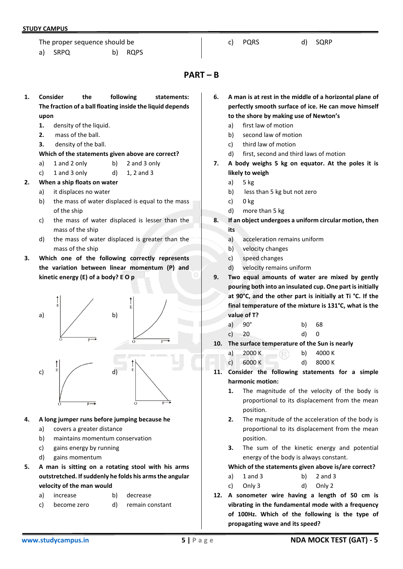The proper sequence should be

a) SRPQ b) RQPS

## c) PQRS d) SQRP

## **PART – B**

- **1. Consider the following statements: The fraction of a ball floating inside the liquid depends upon**
	- **1.** density of the liquid.
	- **2.** mass of the ball.
	- **3.** density of the ball.

## **Which of the statements given above are correct?**

- a) 1 and 2 only b) 2 and 3 only
- c)  $1$  and  $3$  only  $d$   $1, 2$  and  $3$
- **2. When a ship floats on water**
	- a) it displaces no water
	- b) the mass of water displaced is equal to the mass of the ship
	- c) the mass of water displaced is lesser than the mass of the ship
	- d) the mass of water displaced is greater than the mass of the ship
- **3. Which one of the following correctly represents the variation between linear momentum (P) and kinetic energy (E) of a body? E O p**



## **4. A long jumper runs before jumping because he**

- a) covers a greater distance
- b) maintains momentum conservation
- c) gains energy by running
- d) gains momentum
- **5. A man is sitting on a rotating stool with his arms outstretched. If suddenly he folds his arms the angular velocity of the man would**
	- a) increase b) decrease
	- c) become zero d) remain constant
- **6. A man is at rest in the middle of a horizontal plane of perfectly smooth surface of ice. He can move himself to the shore by making use of Newton's**
	- a) first law of motion
	- b) second law of motion
	- c) third law of motion
	- d) first, second and third laws of motion
- **7. A body weighs 5 kg on equator. At the poles it is likely to weigh**
	- a) 5 kg
	- b) less than 5 kg but not zero
	- c) 0 kg
	- d) more than 5 kg
- **8. If an object undergoes a uniform circular motion, then its**
	- a) acceleration remains uniform
	- b) velocity changes
	- c) speed changes
	- d) velocity remains uniform
- **9. Two equal amounts of water are mixed by gently pouring both into an insulated cup. One part is initially at 90°C, and the other part is initially at Ti °C. If the final temperature of the mixture is 131°C, what is the value of T?**

a) 
$$
90^{\circ}
$$
 b) 68

- c) 20 d) 0
- **10. The surface temperature of the Sun is nearly**
	- a)  $2000 \text{ K}$  b)  $4000 \text{ K}$
	- c) 6000 K d) 8000 K
- **11. Consider the following statements for a simple harmonic motion:**
	- **1.** The magnitude of the velocity of the body is proportional to its displacement from the mean position.
	- **2.** The magnitude of the acceleration of the body is proportional to its displacement from the mean position.
	- **3.** The sum of the kinetic energy and potential energy of the body is always constant.

## **Which of the statements given above is/are correct?**

- a) 1 and 3 b) 2 and 3
- c) Only 3 d) Only 2
- **12. A sonometer wire having a length of 50 cm is vibrating in the fundamental mode with a frequency of 100Hz. Which of the following is the type of propagating wave and its speed?**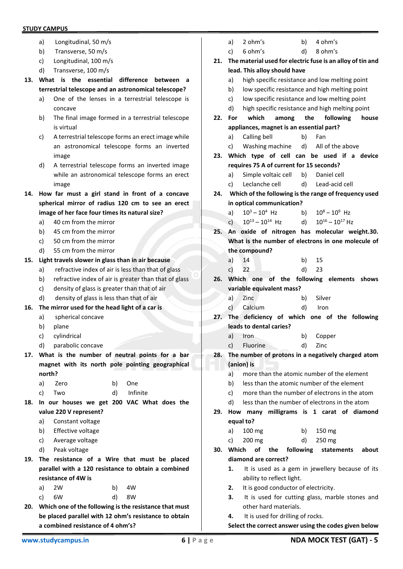- a) Longitudinal, 50 m/s
- b) Transverse, 50 m/s
- c) Longitudinal, 100 m/s
- d) Transverse, 100 m/s
- **13. What is the essential difference between a terrestrial telescope and an astronomical telescope?**
	- a) One of the lenses in a terrestrial telescope is concave
	- b) The final image formed in a terrestrial telescope is virtual
	- c) A terrestrial telescope forms an erect image while an astronomical telescope forms an inverted image
	- d) A terrestrial telescope forms an inverted image while an astronomical telescope forms an erect image
- **14. How far must a girl stand in front of a concave spherical mirror of radius 120 cm to see an erect image of her face four times its natural size?**
	- a) 40 cm from the mirror
	- b) 45 cm from the mirror
	- c) 50 cm from the mirror
	- d) 55 cm from the mirror

## **15. Light travels slower in glass than in air because**

- a) refractive index of air is less than that of glass
- b) refractive index of air is greater than that of glass
- c) density of glass is greater than that of air
- d) density of glass is less than that of air
- **16. The mirror used for the head light of a car is**
	- a) spherical concave
	- b) plane
	- c) cylindrical
	- d) parabolic concave
- **17. What is the number of neutral points for a bar magnet with its north pole pointing geographical north?**

| a) Zero | b) One      |
|---------|-------------|
| c) Two  | d) Infinite |

- **18. In our houses we get 200 VAC What does the value 220 V represent?**
	- a) Constant voltage
	- b) Effective voltage
	- c) Average voltage
	- d) Peak voltage
- **19. The resistance of a Wire that must be placed parallel with a 120 resistance to obtain a combined resistance of 4W is**

| a) 2W | b) 4W |
|-------|-------|
| c) 6W | d) 8W |

- **20. Which one of the following is the resistance that must be placed parallel with 12 ohm's resistance to obtain a combined resistance of 4 ohm's?**
- a) high specific resistance and low melting point b) low specific resistance and high melting point c) low specific resistance and low melting point d) high specific resistance and high melting point **22. For which among the following house appliances, magnet is an essential part?** a) Calling bell b) Fan c) Washing machine d) All of the above **23. Which type of cell can be used if a device requires 75 A of current for 15 seconds?** a) Simple voltaic cell b) Daniel cell c) Leclanche cell d) Lead-acid cell **24. Which of the following is the range of frequency used in optical communication?** a)  $10^3 - 10^4$  Hz b)  $10^8 - 10^9$  Hz c)  $10^{13} - 10^{14}$  Hz d)  $10^{16} - 10^{17}$  Hz **25. An oxide of nitrogen has molecular weight.30. What is the number of electrons in one molecule of the compound?** a) 14 b) 15 c) 22 d) 23 **26. Which one of the following elements shows variable equivalent mass?** a) Zinc b) Silver c) Calcium d) Iron **27. The deficiency of which one of the following leads to dental caries?** a) Iron b) Copper c) Fluorine d) Zinc **28. The number of protons in a negatively charged atom (anion) is** a) more than the atomic number of the element b) less than the atomic number of the element c) more than the number of electrons in the atom d) less than the number of electrons in the atom **29. How many milligrams is 1 carat of diamond equal to?** a) 100 mg b) 150 mg c) 200 mg d) 250 mg **30. Which of the following statements about diamond are correct? 1.** It is used as a gem in jewellery because of its ability to reflect light. **2.** It is good conductor of electricity. **3.** It is used for cutting glass, marble stones and other hard materials. **4.** It is used for drilling of rocks. **Select the correct answer using the codes given below**

a) 2 ohm's b) 4 ohm's c) 6 ohm's d) 8 ohm's

**lead. This alloy should have**

**21. The material used for electric fuse is an alloy of tin and**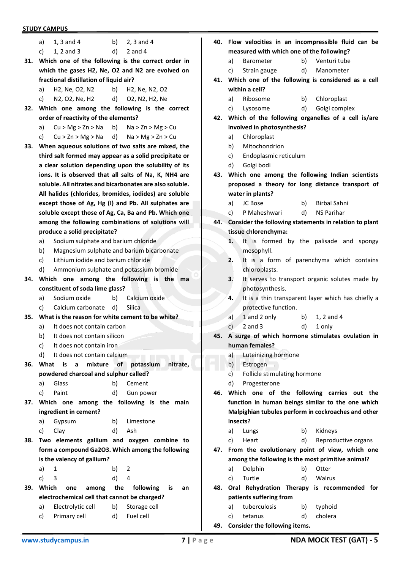|     | <b>STUDY CAMPUS</b>                              |                                                          |  |  |  |  |  |  |
|-----|--------------------------------------------------|----------------------------------------------------------|--|--|--|--|--|--|
|     | $1, 3$ and $4$<br>a)                             | b)<br>$2, 3$ and 4                                       |  |  |  |  |  |  |
|     | c)<br>$1, 2$ and $3$                             | d)<br>$2$ and $4$                                        |  |  |  |  |  |  |
| 31. |                                                  | Which one of the following is the correct order in       |  |  |  |  |  |  |
|     | which the gases H2, Ne, O2 and N2 are evolved on |                                                          |  |  |  |  |  |  |
|     | fractional distillation of liquid air?           |                                                          |  |  |  |  |  |  |
|     | H2, Ne, O2, N2<br>a)                             | b) H2, Ne, N2, O2                                        |  |  |  |  |  |  |
|     | N2, O2, Ne, H2<br>C)                             | d) O2, N2, H2, Ne                                        |  |  |  |  |  |  |
| 32. |                                                  | Which one among the following is the correct             |  |  |  |  |  |  |
|     | order of reactivity of the elements?             |                                                          |  |  |  |  |  |  |
|     | a)                                               | $Cu > Mg > Zn > Na$ b) $Na > Zn > Mg > Cu$               |  |  |  |  |  |  |
|     | c)                                               | $Cu > Zn > Mg > Na$ d) $Na > Mg > Zn > Cu$               |  |  |  |  |  |  |
| 33. |                                                  | When aqueous solutions of two salts are mixed, the       |  |  |  |  |  |  |
|     |                                                  | third salt formed may appear as a solid precipitate or   |  |  |  |  |  |  |
|     |                                                  | a clear solution depending upon the solubility of its    |  |  |  |  |  |  |
|     |                                                  | ions. It is observed that all salts of Na, K, NH4 are    |  |  |  |  |  |  |
|     |                                                  | soluble. All nitrates and bicarbonates are also soluble. |  |  |  |  |  |  |
|     |                                                  | All halides (chlorides, bromides, iodides) are soluble   |  |  |  |  |  |  |
|     |                                                  | except those of Ag, Hg (I) and Pb. All sulphates are     |  |  |  |  |  |  |
|     |                                                  | soluble except those of Ag, Ca, Ba and Pb. Which one     |  |  |  |  |  |  |
|     |                                                  | among the following combinations of solutions will       |  |  |  |  |  |  |
|     | produce a solid precipitate?                     |                                                          |  |  |  |  |  |  |
|     | a)                                               | Sodium sulphate and barium chloride                      |  |  |  |  |  |  |
|     | b)                                               | Magnesium sulphate and barium bicarbonate                |  |  |  |  |  |  |
|     | Lithium jodide and barium chloride<br>c)         |                                                          |  |  |  |  |  |  |
|     | d)                                               | Ammonium sulphate and potassium bromide                  |  |  |  |  |  |  |
| 34. | Which<br>one                                     | among the following is<br>the<br>ma                      |  |  |  |  |  |  |
|     | constituent of soda lime glass?                  |                                                          |  |  |  |  |  |  |
|     | Sodium oxide<br>a)<br>Calcium carbonate          | Calcium oxide<br>b)<br>d)<br>Silica                      |  |  |  |  |  |  |
| 35. | C)                                               | What is the reason for white cement to be white?         |  |  |  |  |  |  |
|     | It does not contain carbon<br>a)                 |                                                          |  |  |  |  |  |  |
|     | b)<br>It does not contain silicon                |                                                          |  |  |  |  |  |  |
|     | c)<br>It does not contain iron                   |                                                          |  |  |  |  |  |  |
|     | d)<br>It does not contain calcium                |                                                          |  |  |  |  |  |  |
| 36. | What<br>mixture<br>is<br>a                       | of<br>potassium<br>nitrate,                              |  |  |  |  |  |  |
|     | powdered charcoal and sulphur called?            |                                                          |  |  |  |  |  |  |
|     | a)<br>Glass                                      | b)<br>Cement                                             |  |  |  |  |  |  |
|     | c)<br>Paint                                      | d)<br>Gun power                                          |  |  |  |  |  |  |
| 37. |                                                  | Which one among the following is the main                |  |  |  |  |  |  |
|     | ingredient in cement?                            |                                                          |  |  |  |  |  |  |
|     | Gypsum<br>a)                                     | b)<br>Limestone                                          |  |  |  |  |  |  |
|     | c)<br>Clay                                       | d)<br>Ash                                                |  |  |  |  |  |  |
| 38. |                                                  | Two elements gallium and oxygen combine to               |  |  |  |  |  |  |
|     |                                                  | form a compound Ga2O3. Which among the following         |  |  |  |  |  |  |
|     | is the valency of gallium?                       |                                                          |  |  |  |  |  |  |
|     | a)<br>1                                          | b)<br>2                                                  |  |  |  |  |  |  |
|     | c)<br>3                                          | d)<br>4                                                  |  |  |  |  |  |  |
| 39. | Which<br>one<br>among                            | the<br>following<br>is<br>an                             |  |  |  |  |  |  |
|     | electrochemical cell that cannot be charged?     |                                                          |  |  |  |  |  |  |
|     | Electrolytic cell<br>a)                          | b)<br>Storage cell                                       |  |  |  |  |  |  |
|     | Primary cell<br>c)                               | d)<br>Fuel cell                                          |  |  |  |  |  |  |

- **40. Flow velocities in an incompressible fluid can be measured with which one of the following?**
	- a) Barometer b) Venturi tube
	- c) Strain gauge d) Manometer
- **41. Which one of the following is considered as a cell within a cell?**
	- a) Ribosome b) Chloroplast
	- c) Lysosome d) Golgi complex
- **42. Which of the following organelles of a cell is/are involved in photosynthesis?**
	- a) Chloroplast
	- b) Mitochondrion
	- c) Endoplasmic reticulum
	- d) Golgi bodi
- **43. Which one among the following Indian scientists proposed a theory for long distance transport of water in plants?**
	- a) JC Bose b) Birbal Sahni
	- c) P Maheshwari d) NS Parihar
- **44. Consider the following statements in relation to plant tissue chlorenchyma:**
	- **1.** It is formed by the palisade and spongy mesophyll.
	- **2.** It is a form of parenchyma which contains chloroplasts.
	- **3**. It serves to transport organic solutes made by photosynthesis.
	- **4.** It is a thin transparent layer which has chiefly a protective function.
	- a)  $1$  and  $2$  only b)  $1, 2$  and  $4$
	- c)  $2$  and  $3$  d)  $1$  only
- **45. A surge of which hormone stimulates ovulation in human females?**
	- a) Luteinizing hormone
	- b) Estrogen
	- c) Follicle stimulating hormone
	- d) Progesterone
- **46. Which one of the following carries out the function in human beings similar to the one which Malpighian tubules perform in cockroaches and other insects?**
	- a) Lungs b) Kidneys
	- c) Heart d) Reproductive organs
- **47. From the evolutionary point of view, which one among the following is the most primitive animal?**
	- a) Dolphin b) Otter
	- c) Turtle d) Walrus
- **48. Oral Rehydration Therapy is recommended for patients suffering from**
	- a) tuberculosis b) typhoid
	- c) tetanus d) cholera
- **49. Consider the following items.**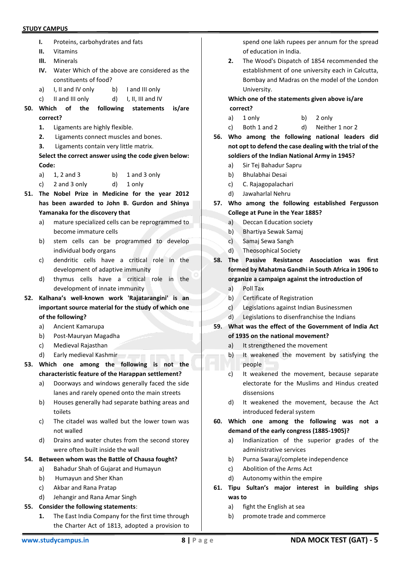- **I.** Proteins, carbohydrates and fats
- **II.** Vitamins
- **IlI.** Minerals
- **IV.** Water Which of the above are considered as the constituents of food?
- a) I, II and IV only b) I and III only
- c) II and III only d) I, II, III and IV
- **50. Which of the following statements is/are correct?**
	- **1.** Ligaments are highly flexible.
	- **2.** Ligaments connect muscles and bones.
	- **3.** Ligaments contain very little matrix.

**Select the correct answer using the code given below: Code:**

- a)  $1, 2$  and  $3$  b)  $1$  and  $3$  only
- c) 2 and 3 only d) 1 only
- **51. The Nobel Prize in Medicine for the year 2012 has been awarded to John B. Gurdon and Shinya Yamanaka for the discovery that**
	- a) mature specialized cells can be reprogrammed to become immature cells
	- b) stem cells can be programmed to develop individual body organs
	- c) dendritic cells have a critical role in the development of adaptive immunity
	- d) thymus cells have a critical role in the development of innate immunity
- **52. Kalhana's well-known work 'Rajatarangini' is an important source material for the study of which one of the following?**
	- a) Ancient Kamarupa
	- b) Post-Mauryan Magadha
	- c) Medieval Rajasthan
	- d) Early medieval Kashmir
- **53. Which one among the following is not the characteristic feature of the Harappan settlement?**
	- a) Doorways and windows generally faced the side lanes and rarely opened onto the main streets
	- b) Houses generally had separate bathing areas and toilets
	- c) The citadel was walled but the lower town was not walled
	- d) Drains and water chutes from the second storey were often built inside the wall

## **54. Between whom was the Battle of Chausa fought?**

- a) Bahadur Shah of Gujarat and Humayun
- b) Humayun and Sher Khan
- c) Akbar and Rana Pratap
- d) Jehangir and Rana Amar Singh

## **55. Consider the following statements**:

**1.** The East India Company for the first time through the Charter Act of 1813, adopted a provision to

spend one lakh rupees per annum for the spread of education in India.

**2.** The Wood's Dispatch of 1854 recommended the establishment of one university each in Calcutta, Bombay and Madras on the model of the London University.

**Which one of the statements given above is/are correct?**

- a) 1 only b) 2 only
- c) Both 1 and 2 d) Neither 1 nor 2
- **56. Who among the following national leaders did not opt to defend the case dealing with the trial of the soldiers of the Indian National Army in 1945?**
	- a) Sir Tej Bahadur Sapru
	- b) Bhulabhai Desai
	- c) C. Rajagopalachari
	- d) Jawaharlal Nehru
- **57. Who among the following established Fergusson College at Pune in the Year 1885?**
	- a) Deccan Education society
	- b) Bhartiya Sewak Samaj
	- c) Samaj Sewa Sangh
	- d) Theosophical Society
- **58. The Passive Resistance Association was first formed by Mahatma Gandhi in South Africa in 1906 to organize a campaign against the introduction of**
	- a) Poll Tax
	- b) Certificate of Registration
	- c) Legislations against Indian Businessmen
	- d) Legislations to disenfranchise the Indians

## **59. What was the effect of the Government of India Act of 1935 on the national movement?**

- a) It strengthened the movement
- b) It weakened the movement by satisfying the people
- c) It weakened the movement, because separate electorate for the Muslims and Hindus created dissensions
- d) It weakened the movement, because the Act introduced federal system
- **60. Which one among the following was not a demand of the early congress (1885-1905)?**
	- a) Indianization of the superior grades of the administrative services
	- b) Purna Swaraj/complete independence
	- c) Abolition of the Arms Act
	- d) Autonomy within the empire
- **61. Tipu Sultan's major interest in building ships was to**
	- a) fight the English at sea
	- b) promote trade and commerce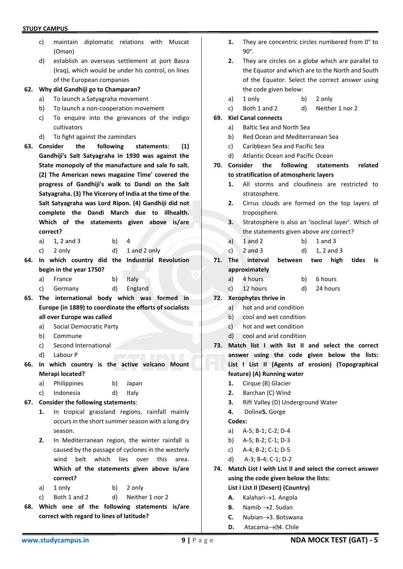- c) maintain diplomatic relations with Muscat (Oman)
- d) establish an overseas settlement at port Basra (Iraq), which would be under his control, on lines of the European companies

#### **62. Why did Gandhiji go to Champaran?**

- a) To launch a Satyagraha movement
- b) To launch a non-cooperation movement
- c) To enquire into the grievances of the indigo cultivators
- d) To fight against the zamindars
- **63. Consider the following statements**: **(1) Gandhiji's Salt Satyagraha in 1930 was against the State monopoly of the manufacture and sale fo salt. (2) The American news magazine Time' covered the progress of Gandhiji's walk to Dandi on the Salt Satyagraha. (3) The Vicerory of India at the time of the Salt Satyagraha was Lord Ripon. (4) Gandhiji did not complete the Dandi March due to illhealth. Which of the statements given above is/are correct?**
	- a) 1, 2 and 3 b) 4
	- c) 2 only d) 1 and 2 only
- **64. In which country did the Industrial Revolution begin in the year 1750?**
	- a) France b) Italy
	- c) Germany d) England
- **65. The international body which was formed in Europe (in 1889) to coordinate the efforts of socialists all over Europe was called**
	- a) Social Democratic Party
	- b) Commune
	- c) Second International
	- d) Labour P
- **66. In which country is the active volcano Mount Merapi located?**
	- a) Philippines b) Japan
	- c) Indonesia d) Italy

## **67. Consider the following statements**:

- **1.** In tropical grassland regions, rainfall mainly occurs in the short summer season with a long dry season.
- **2.** In Mediterranean region, the winter rainfall is caused by the passage of cyclones in the westerly wind belt which lies over this area. **Which of the statements given above is/are correct?**
- a) 1 only b) 2 only
- c) Both 1 and 2 d) Neither 1 nor 2
- **68. Which one of the following statements is/are correct with regard to lines of latitude?**
- **1.** They are concentric circles numbered from 0° to 90°.
- **2.** They are circles on a globe which are parallel to the Equator and which are to the North and South of the Equator. Select the correct answer using the code given below:
- a) 1 only b) 2 only
- c) Both 1 and 2 d) Neither 1 nor 2
- **69. Kiel Canal connects**
	- a) Baltic Sea and North Sea
	- b) Red Ocean and Mediterranean Sea
	- c) Caribbean Sea and Pacific Sea
	- d) Atlantic Ocean and Pacific Ocean
- **70. Consider the following statements related to stratification of atmospheric layers**
	- **1.** All storms and cloudiness are restricted to stratosphere.
	- **2.** Cirrus clouds are formed on the top layers of troposphere.
	- **3.** Stratosphere is also an 'isoclinal layer'. Which of the statements given above are correct?
	- a)  $1$  and  $2$  b)  $1$  and  $3$
	- c) 2 and 3 d) 1, 2 and 3
- **71. The interval between two high tides is approximately**
	- a) 4 hours b) 6 hours
	- c) 12 hours d) 24 hours
- **72. Xerophytes thrive in**
	- a) hot and arid condition
	- b) cool and wet condition
	- c) hot and wet condition
	- d) cool and arid condition
- **73. Match list I with list II and select the correct answer using the code given below the lists: List I List II (Agents of erosion) (Topographical feature) (A) Running water**
	- **1.** Cirque (B) Glacier
	- **2.** Barchan (C) Wind
	- **3.** Rift Valley (D) Underground Water
	- **4.** Doline**5.** Gorge
	- **Codes:**
	- a) A-5; B-1; C-2; D-4
	- b) A-5; B-2; C-1; D-3
	- c) A-4; B-2; C-1; D-5
	- d) A-3; B-4; C-1; D-2
- **74. Match List I with List II and select the correct answer using the code given below the lists:**

**List I List II (Desert) (Country)**

- **A.** Kalahari→1. Angola
- **B.** Namib →2. Sudan
- **C.** Nubian→3. Botswana
- **D.** Atacama→**24.** Chile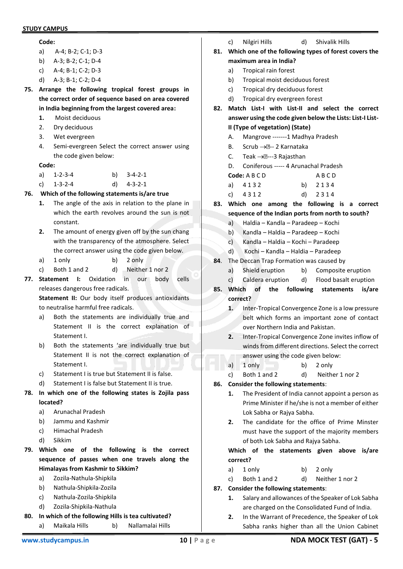## **Code:**

- a) A-4; B-2; C-1; D-3
- b) A-3; B-2; C-1; D-4
- c) A-4; B-1; C-2; D-3
- d) A-3; B-1; C-2; D-4
- **75. Arrange the following tropical forest groups in the correct order of sequence based on area covered in India beginning from the largest covered area:**
	- **1.** Moist deciduous
	- 2. Dry deciduous
	- 3. Wet evergreen
	- 4. Semi-evergreen Select the correct answer using the code given below:

**Code:**

| a) 1-2-3-4   | b) $3-4-2-1$ |
|--------------|--------------|
| c) $1-3-2-4$ | d) $4-3-2-1$ |

## **76. Which of the following statements is/are true**

- **1.** The angle of the axis in relation to the plane in which the earth revolves around the sun is not constant.
- **2.** The amount of energy given off by the sun chang with the transparency of the atmosphere. Select the correct answer using the code given below.
- a) 1 only b) 2 only
- c) Both 1 and 2 d) Neither 1 nor 2
- **77. Statement I:** Oxidation in our body cells releases dangerous free radicals.

**Statement II:** Our body itself produces antioxidants to neutralise harmful free radicals.

- a) Both the statements are individually true and Statement II is the correct explanation of Statement I.
- b) Both the statements 'are individually true but Statement II is not the correct explanation of Statement I.
- c) Statement I is true but Statement II is false.
- d) Statement I is false but Statement II is true.
- **78. In which one of the following states is Zojila pass located?**
	- a) Arunachal Pradesh
	- b) Jammu and Kashmir
	- c) Himachal Pradesh
	- d) Sikkim
- **79. Which one of the following is the correct sequence of passes when one travels along the Himalayas from Kashmir to Sikkim?**
	- a) Zozila-Nathula-Shipkila
	- b) Nathula-Shipkila-Zozila
	- c) Nathula-Zozila-Shipkila
	- d) Zozila-Shipkila-Nathula
- **80. In which of the following Hills is tea cultivated?**
	- a) Maikala Hills b) Nallamalai Hills
- c) Nilgiri Hills d) Shivalik Hills
- **81. Which one of the following types of forest covers the maximum area in India?**
	- a) Tropical rain forest
	- b) Tropical moist deciduous forest
	- c) Tropical dry deciduous forest
	- d) Tropical dry evergreen forest
- **82. Match List-I with List-II and select the correct answer using the code given below the Lists: List-I List-II (Type of vegetation) (State)**
	- A. Mangrove -------1 Madhya Pradesh
	- B. Scrub → 2 Karnataka
	- C. Teak  $\rightarrow$   $\mathbb{R}$ --3 Rajasthan
	- D. Coniferous ----- 4 Arunachal Pradesh
	- **Code:** A B C D A B C D a) 4 1 3 2 b) 2 1 3 4
	- c) 4 3 1 2 d) 2 3 1 4
- **83. Which one among the following is a correct sequence of the Indian ports from north to south?**
	- a) Haldia Kandla Paradeep Kochi
	- b) Kandla Haldia Paradeep Kochi
	- c) Kandla Haldia Kochi Paradeep
	- d) Kochi Kandla Haldia Paradeep
- **84**. The Deccan Trap Formation was caused by
	- a) Shield eruption b) Composite eruption
	- c) Caldera eruption d) Flood basalt eruption
- **85. Which of the following statements is/are correct?**
	- **1.** Inter-Tropical Convergence Zone is a low pressure belt which forms an important zone of contact over Northern India and Pakistan.
	- **2.** Inter-Tropical Convergence Zone invites inflow of winds from different directions. Select the correct answer using the code given below:
	- a) 1 only b) 2 only
	- c) Both 1 and 2 d) Neither 1 nor 2
- **86. Consider the following statements**:
	- **1.** The President of India cannot appoint a person as Prime Minister if he/she is not a member of either Lok Sabha or Rajya Sabha.
	- **2.** The candidate for the office of Prime Minster must have the support of the majority members of both Lok Sabha and Rajya Sabha.

**Which of the statements given above is/are correct?**

- a) 1 only b) 2 only
- c) Both 1 and 2 d) Neither 1 nor 2
- **87. Consider the following statements**:
	- **1.** Salary and allowances of the Speaker of Lok Sabha are charged on the Consolidated Fund of India.
	- **2.** In the Warrant of Precedence, the Speaker of Lok Sabha ranks higher than all the Union Cabinet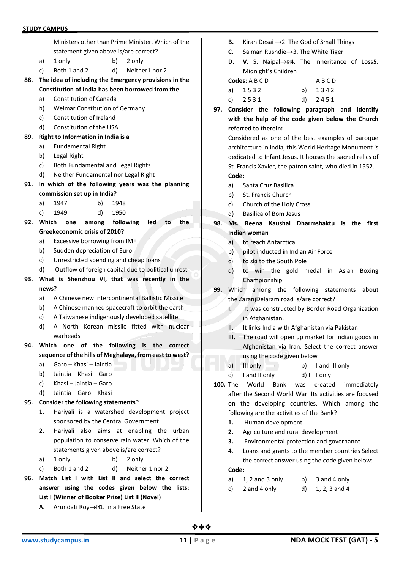|     |          | Ministers other than Prime Minister. Which of the                                 |  |  |  |  |  |
|-----|----------|-----------------------------------------------------------------------------------|--|--|--|--|--|
|     |          | statement given above is/are correct?                                             |  |  |  |  |  |
|     | a)       | 1 only<br>b)<br>2 only                                                            |  |  |  |  |  |
|     | c)       | Both 1 and 2<br>d)<br>Neither1 nor 2                                              |  |  |  |  |  |
| 88. |          | The idea of including the Emergency provisions in the                             |  |  |  |  |  |
|     |          | Constitution of India has been borrowed from the                                  |  |  |  |  |  |
|     | a)       | <b>Constitution of Canada</b>                                                     |  |  |  |  |  |
|     | b)       | Weimar Constitution of Germany                                                    |  |  |  |  |  |
|     | c)       | Constitution of Ireland                                                           |  |  |  |  |  |
|     | d)       | Constitution of the USA                                                           |  |  |  |  |  |
| 89. |          | Right to Information in India is a                                                |  |  |  |  |  |
|     | a)       | <b>Fundamental Right</b>                                                          |  |  |  |  |  |
|     | b)       | Legal Right                                                                       |  |  |  |  |  |
|     | c)       | Both Fundamental and Legal Rights                                                 |  |  |  |  |  |
|     | d)       | Neither Fundamental nor Legal Right                                               |  |  |  |  |  |
| 91. |          | In which of the following years was the planning                                  |  |  |  |  |  |
|     |          | commission set up in India?                                                       |  |  |  |  |  |
|     | a)       | b)<br>1947<br>1948                                                                |  |  |  |  |  |
|     | c)       | d)<br>1949<br>1950                                                                |  |  |  |  |  |
| 92. | Which    | the<br>among following<br>led<br>one<br>to                                        |  |  |  |  |  |
|     |          | <b>Greekeconomic crisis of 2010?</b>                                              |  |  |  |  |  |
|     | a)       | Excessive borrowing from IMF                                                      |  |  |  |  |  |
|     | b)       | Sudden depreciation of Euro                                                       |  |  |  |  |  |
|     |          |                                                                                   |  |  |  |  |  |
|     | c)       | Unrestricted spending and cheap loans                                             |  |  |  |  |  |
|     | d)       | Outflow of foreign capital due to political unrest                                |  |  |  |  |  |
| 93. |          | What is Shenzhou VI, that was recently in the                                     |  |  |  |  |  |
|     | news?    |                                                                                   |  |  |  |  |  |
|     | a)       | A Chinese new Intercontinental Ballistic Missile                                  |  |  |  |  |  |
|     | b)       | A Chinese manned spacecraft to orbit the earth                                    |  |  |  |  |  |
|     | c)       | A Taiwanese indigenously developed satellite                                      |  |  |  |  |  |
|     | d)       | A North Korean missile fitted with nuclear                                        |  |  |  |  |  |
|     |          | warheads                                                                          |  |  |  |  |  |
|     |          | 94. Which one of the following is the correct                                     |  |  |  |  |  |
|     |          | sequence of the hills of Meghalaya, from east to west?                            |  |  |  |  |  |
|     | a)       | Garo – Khasi – Jaintia                                                            |  |  |  |  |  |
|     | b)<br>c) | Jaintia – Khasi – Garo<br>Khasi – Jaintia – Garo                                  |  |  |  |  |  |
|     | d)       | Jaintia – Garo – Khasi                                                            |  |  |  |  |  |
| 95. |          |                                                                                   |  |  |  |  |  |
|     | 1.       | Consider the following statements?<br>Hariyali is a watershed development project |  |  |  |  |  |
|     |          | sponsored by the Central Government.                                              |  |  |  |  |  |
|     | 2.       | Hariyali also<br>aims at enabling the urban                                       |  |  |  |  |  |
|     |          | population to conserve rain water. Which of the                                   |  |  |  |  |  |
|     |          | statements given above is/are correct?                                            |  |  |  |  |  |
|     | a)       | 1 only<br>b)<br>2 only                                                            |  |  |  |  |  |

- **96. Match List I with List II and select the correct answer using the codes given below the lists: List I (Winner of Booker Prize) List II (Novel)**
	- **A.** Arundati Roy→21. In a Free State
- **B.** Kiran Desai →2. The God of Small Things
- **C.** Salman Rushdie→3. The White Tiger
- **D. V.** S. Naipal→**24.** The Inheritance of Loss5. Midnight's Children
- **Codes:** A B C D A B C D a) 1532 b) 1342 c) 2 5 3 1 d) 2 4 5 1
- **97. Consider the following paragraph and identify with the help of the code given below the Church referred to therein:**

Considered as one of the best examples of baroque architecture in India, this World Heritage Monument is dedicated to Infant Jesus. It houses the sacred relics of St. Francis Xavier, the patron saint, who died in 1552. **Code:**

- a) Santa Cruz Basilica
- b) St. Francis Church
- c) Church of the Holy Cross
- d) Basilica of Bom Jesus
- **98. Ms. Reena Kaushal Dharmshaktu is the first Indian woman**
	- a) to reach Antarctica
	- b) pilot inducted in Indian Air Force
	- c) to ski to the South Pole
	- d) to win the gold medal in Asian Boxing Championship
- **99.** Which among the following statements about the ZaranjDelaram road is/are correct?
	- **I.** It was constructed by Border Road Organization in Afghanistan.
	- **II.** It links India with Afghanistan via Pakistan
	- **III.** The road will open up market for Indian goods in Afghanistan via Iran. Select the correct answer using the code given below
	- a) III only b) I and III only
	- c) I and II only d) I I only
- **100.** The World Bank was created immediately after the Second World War. Its activities are focused on the developing countries. Which among the following are the activities of the Bank?
	- **1.** Human development
	- **2.** Agriculture and rural development
	- **3.** Environmental protection and governance
	- **4**. Loans and grants to the member countries Select the correct answer using the code given below:

**Code:**

- a)  $1, 2$  and  $3$  only b)  $3$  and  $4$  only
- c)  $2$  and  $4$  only  $d)$   $1, 2, 3$  and  $4$